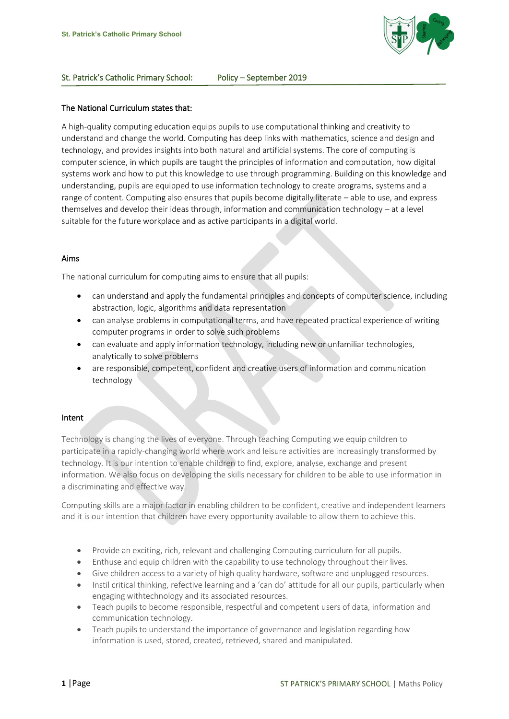

### St. Patrick's Catholic Primary School: Policy – September 2019

### The National Curriculum states that:

A high-quality computing education equips pupils to use computational thinking and creativity to understand and change the world. Computing has deep links with mathematics, science and design and technology, and provides insights into both natural and artificial systems. The core of computing is computer science, in which pupils are taught the principles of information and computation, how digital systems work and how to put this knowledge to use through programming. Building on this knowledge and understanding, pupils are equipped to use information technology to create programs, systems and a range of content. Computing also ensures that pupils become digitally literate – able to use, and express themselves and develop their ideas through, information and communication technology – at a level suitable for the future workplace and as active participants in a digital world.

#### Aims

The national curriculum for computing aims to ensure that all pupils:

- can understand and apply the fundamental principles and concepts of computer science, including abstraction, logic, algorithms and data representation
- can analyse problems in computational terms, and have repeated practical experience of writing computer programs in order to solve such problems
- can evaluate and apply information technology, including new or unfamiliar technologies, analytically to solve problems
- are responsible, competent, confident and creative users of information and communication technology

### Intent

Technology is changing the lives of everyone. Through teaching Computing we equip children to participate in a rapidly-changing world where work and leisure activities are increasingly transformed by technology. It is our intention to enable children to find, explore, analyse, exchange and present information. We also focus on developing the skills necessary for children to be able to use information in a discriminating and effective way.

Computing skills are a major factor in enabling children to be confident, creative and independent learners and it is our intention that children have every opportunity available to allow them to achieve this.

- Provide an exciting, rich, relevant and challenging Computing curriculum for all pupils.
- Enthuse and equip children with the capability to use technology throughout their lives.
- Give children access to a variety of high quality hardware, software and unplugged resources.
- Instil critical thinking, refective learning and a 'can do' attitude for all our pupils, particularly when engaging withtechnology and its associated resources.
- Teach pupils to become responsible, respectful and competent users of data, information and communication technology.
- Teach pupils to understand the importance of governance and legislation regarding how information is used, stored, created, retrieved, shared and manipulated.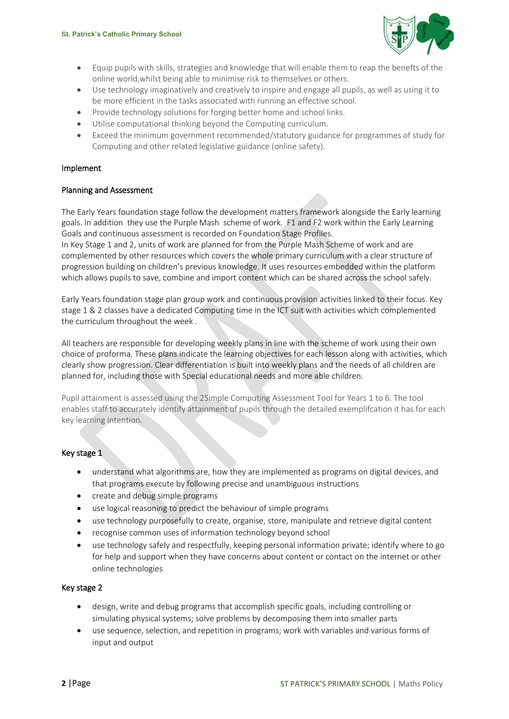

- Equip pupils with skills, strategies and knowledge that will enable them to reap the benefts of the online world,whilst being able to minimise risk to themselves or others.
- Use technology imaginatively and creatively to inspire and engage all pupils, as well as using it to be more efficient in the tasks associated with running an effective school.
- Provide technology solutions for forging better home and school links.
- Utilise computational thinking beyond the Computing curriculum.
- Exceed the minimum government recommended/statutory guidance for programmes of study for Computing and other related legislative guidance (online safety).

## Implement

### Planning and Assessment

The Early Years foundation stage follow the development matters framework alongside the Early learning goals. In addition they use the Purple Mash scheme of work. F1 and F2 work within the Early Learning Goals and continuous assessment is recorded on Foundation Stage Profiles.

In Key Stage 1 and 2, units of work are planned for from the Purple Mash Scheme of work and are complemented by other resources which covers the whole primary curriculum with a clear structure of progression building on children's previous knowledge. It uses resources embedded within the platform which allows pupils to save, combine and import content which can be shared across the school safely.

Early Years foundation stage plan group work and continuous provision activities linked to their focus. Key stage 1 & 2 classes have a dedicated Computing time in the ICT suit with activities which complemented the curriculum throughout the week .

All teachers are responsible for developing weekly plans in line with the scheme of work using their own choice of proforma. These plans indicate the learning objectives for each lesson along with activities, which clearly show progression. Clear differentiation is built into weekly plans and the needs of all children are planned for, including those with Special educational needs and more able children.

Pupil attainment is assessed using the 2Simple Computing Assessment Tool for Years 1 to 6. The tool enables staff to accurately identify attainment of pupils through the detailed exemplifcation it has for each key learning intention.

# Key stage 1

- understand what algorithms are, how they are implemented as programs on digital devices, and that programs execute by following precise and unambiguous instructions
- create and debug simple programs
- use logical reasoning to predict the behaviour of simple programs
- use technology purposefully to create, organise, store, manipulate and retrieve digital content
- recognise common uses of information technology beyond school
- use technology safely and respectfully, keeping personal information private; identify where to go for help and support when they have concerns about content or contact on the internet or other online technologies

### Key stage 2

- design, write and debug programs that accomplish specific goals, including controlling or simulating physical systems; solve problems by decomposing them into smaller parts
- use sequence, selection, and repetition in programs; work with variables and various forms of input and output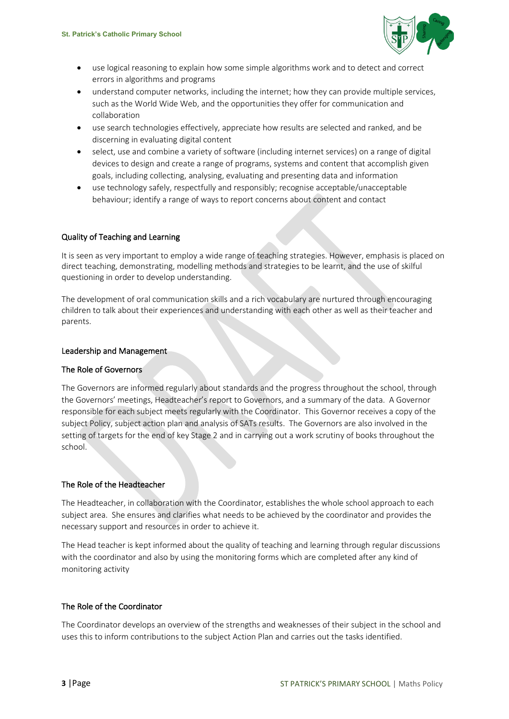

- use logical reasoning to explain how some simple algorithms work and to detect and correct errors in algorithms and programs
- understand computer networks, including the internet; how they can provide multiple services, such as the World Wide Web, and the opportunities they offer for communication and collaboration
- use search technologies effectively, appreciate how results are selected and ranked, and be discerning in evaluating digital content
- select, use and combine a variety of software (including internet services) on a range of digital devices to design and create a range of programs, systems and content that accomplish given goals, including collecting, analysing, evaluating and presenting data and information
- use technology safely, respectfully and responsibly; recognise acceptable/unacceptable behaviour; identify a range of ways to report concerns about content and contact

# Quality of Teaching and Learning

It is seen as very important to employ a wide range of teaching strategies. However, emphasis is placed on direct teaching, demonstrating, modelling methods and strategies to be learnt, and the use of skilful questioning in order to develop understanding.

The development of oral communication skills and a rich vocabulary are nurtured through encouraging children to talk about their experiences and understanding with each other as well as their teacher and parents. 

### Leadership and Management

### The Role of Governors

The Governors are informed regularly about standards and the progress throughout the school, through the Governors' meetings, Headteacher's report to Governors, and a summary of the data. A Governor responsible for each subject meets regularly with the Coordinator. This Governor receives a copy of the subject Policy, subject action plan and analysis of SATs results. The Governors are also involved in the setting of targets for the end of key Stage 2 and in carrying out a work scrutiny of books throughout the school.

### The Role of the Headteacher

The Headteacher, in collaboration with the Coordinator, establishes the whole school approach to each subject area. She ensures and clarifies what needs to be achieved by the coordinator and provides the necessary support and resources in order to achieve it.

The Head teacher is kept informed about the quality of teaching and learning through regular discussions with the coordinator and also by using the monitoring forms which are completed after any kind of monitoring activity

### The Role of the Coordinator

The Coordinator develops an overview of the strengths and weaknesses of their subject in the school and uses this to inform contributions to the subject Action Plan and carries out the tasks identified.